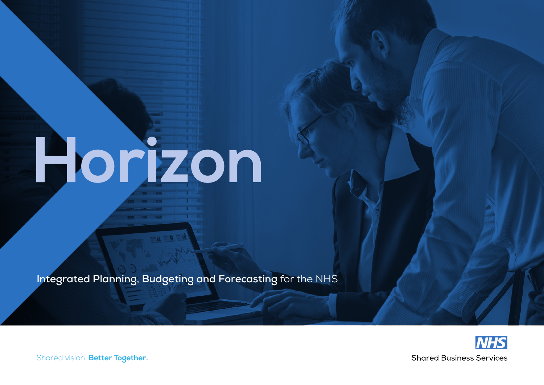# **Horizon**

**Integrated Planning, Budgeting and Forecasting** for the NHS



Shared vision. **Better Together.**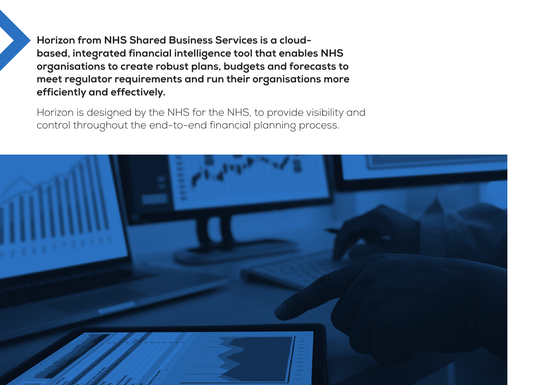**Horizon from NHS Shared Business Services is a cloudbased, integrated financial intelligence tool that enables NHS organisations to create robust plans, budgets and forecasts to meet regulator requirements and run their organisations more efficiently and effectively.** 

Horizon is designed by the NHS for the NHS, to provide visibility and control throughout the end-to-end financial planning process.

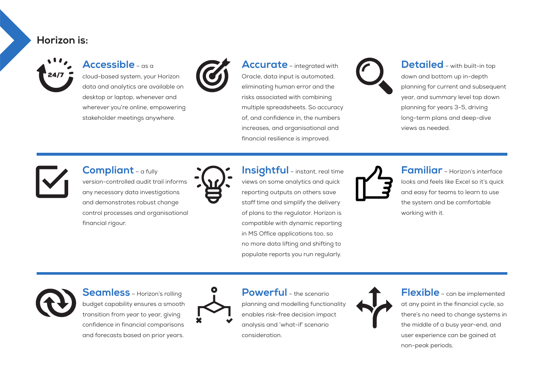### **Horizon is:**



#### **Accessible** – as a

cloud-based system, your Horizon data and analytics are available on desktop or laptop, whenever and wherever you're online, empowering stakeholder meetings anywhere.



**Accurate** – integrated with Oracle, data input is automated, eliminating human error and the risks associated with combining multiple spreadsheets. So accuracy of, and confidence in, the numbers increases, and organisational and financial resilience is improved.



**Detailed** – with built-in top down and bottom up in-depth planning for current and subsequent year, and summary level top down planning for years 3-5, driving long-term plans and deep-dive views as needed.



**Compliant** – a fully version-controlled audit trail informs any necessary data investigations and demonstrates robust change control processes and organisational financial rigour.



**Insightful** – instant, real time views on some analytics and quick reporting outputs on others save staff time and simplify the delivery of plans to the regulator. Horizon is compatible with dynamic reporting in MS Office applications too, so no more data lifting and shifting to populate reports you run regularly.



**Familiar** – Horizon's interface looks and feels like Excel so it's quick and easy for teams to learn to use the system and be comfortable working with it.



**Seamless** – Horizon's rolling budget capability ensures a smooth transition from year to year, giving confidence in financial comparisons and forecasts based on prior years.



**Powerful** – the scenario planning and modelling functionality enables risk-free decision impact analysis and 'what-if' scenario consideration.



**Flexible** – can be implemented at any point in the financial cycle, so there's no need to change systems in the middle of a busy year-end, and user experience can be gained at non-peak periods.